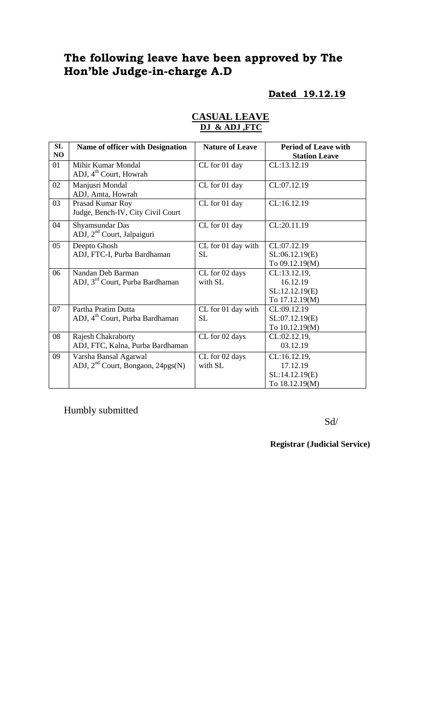# **The following leave have been approved by The Hon'ble Judge-in-charge A.D**

### **Dated 19.12.19**

| SL | <b>Name of officer with Designation</b>                            | <b>Nature of Leave</b>          | <b>Period of Leave with</b>                                  |
|----|--------------------------------------------------------------------|---------------------------------|--------------------------------------------------------------|
| NO |                                                                    |                                 | <b>Station Leave</b>                                         |
| 01 | Mihir Kumar Mondal<br>ADJ, 4 <sup>th</sup> Court, Howrah           | CL for 01 day                   | CL:13.12.19                                                  |
| 02 | Manjusri Mondal<br>ADJ, Amta, Howrah                               | CL for 01 day                   | CL:07.12.19                                                  |
| 03 | Prasad Kumar Roy<br>Judge, Bench-IV, City Civil Court              | CL for 01 day                   | CL:16.12.19                                                  |
| 04 | Shyamsundar Das<br>ADJ, 2 <sup>nd</sup> Court, Jalpaiguri          | CL for 01 day                   | CL:20.11.19                                                  |
| 05 | Deepto Ghosh<br>ADJ, FTC-I, Purba Bardhaman                        | CL for 01 day with<br><b>SL</b> | CL:07.12.19<br>SL:06.12.19(E)<br>To 09.12.19(M)              |
| 06 | Nandan Deb Barman<br>ADJ, 3 <sup>rd</sup> Court, Purba Bardhaman   | CL for 02 days<br>with SL       | CL:13.12.19,<br>16.12.19<br>SL:12.12.19(E)<br>To 17.12.19(M) |
| 07 | Partha Pratim Dutta<br>ADJ, 4 <sup>th</sup> Court, Purba Bardhaman | CL for 01 day with<br><b>SL</b> | CL:09.12.19<br>SL:07.12.19(E)<br>To 10.12.19(M)              |
| 08 | <b>Rajesh Chakraborty</b><br>ADJ, FTC, Kalna, Purba Bardhaman      | CL for 02 days                  | CL:02.12.19,<br>03.12.19                                     |
| 09 | Varsha Bansal Agarwal<br>ADJ, $2nd$ Court, Bongaon, 24pgs(N)       | CL for 02 days<br>with SL       | CL:16.12.19,<br>17.12.19<br>SL:14.12.19(E)<br>To 18.12.19(M) |

## **CASUAL LEAVE DJ & ADJ ,FTC**

Humbly submitted

Sd/

**Registrar (Judicial Service)**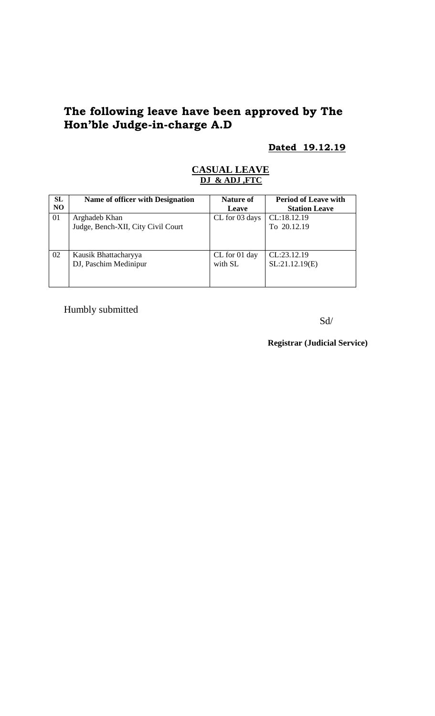# **The following leave have been approved by The Hon'ble Judge-in-charge A.D**

# **Dated 19.12.19**

#### **CASUAL LEAVE DJ & ADJ ,FTC**

| <b>SL</b> | Name of officer with Designation   | Nature of      | <b>Period of Leave with</b> |
|-----------|------------------------------------|----------------|-----------------------------|
| NO.       |                                    | Leave          | <b>Station Leave</b>        |
| 01        | Arghadeb Khan                      | CL for 03 days | CL:18.12.19                 |
|           | Judge, Bench-XII, City Civil Court |                | To 20.12.19                 |
|           |                                    |                |                             |
|           |                                    |                |                             |
| 02        | Kausik Bhattacharyya               | CL for 01 day  | CL:23.12.19                 |
|           | DJ, Paschim Medinipur              | with SL        | SL:21.12.19(E)              |
|           |                                    |                |                             |
|           |                                    |                |                             |

Humbly submitted

Sd/

**Registrar (Judicial Service)**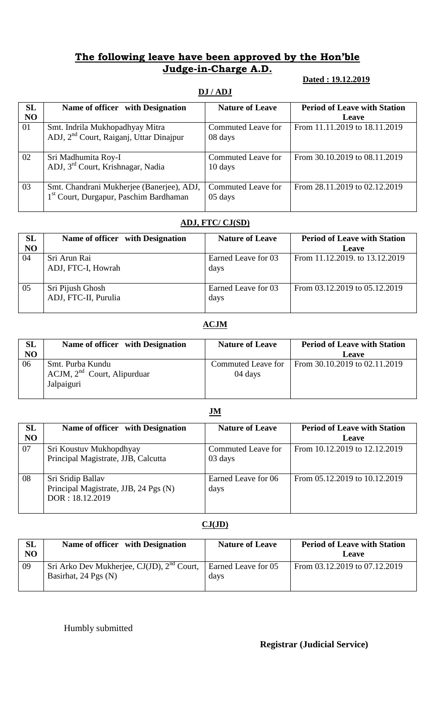# **The following leave have been approved by the Hon'ble Judge-in-Charge A.D.**

#### **Dated : 19.12.2019**

## **DJ / ADJ**

| SL | Name of officer with Designation                    | <b>Nature of Leave</b> | <b>Period of Leave with Station</b> |
|----|-----------------------------------------------------|------------------------|-------------------------------------|
| NO |                                                     |                        | <b>Leave</b>                        |
| 01 | Smt. Indrila Mukhopadhyay Mitra                     | Commuted Leave for     | From 11.11.2019 to 18.11.2019       |
|    | ADJ, 2 <sup>nd</sup> Court, Raiganj, Uttar Dinajpur | 08 days                |                                     |
|    |                                                     |                        |                                     |
| 02 | Sri Madhumita Roy-I                                 | Commuted Leave for     | From 30.10.2019 to 08.11.2019       |
|    | ADJ, 3 <sup>rd</sup> Court, Krishnagar, Nadia       | 10 days                |                                     |
| 03 | Smt. Chandrani Mukherjee (Banerjee), ADJ,           | Commuted Leave for     | From 28.11.2019 to 02.12.2019       |
|    | 1 <sup>st</sup> Court, Durgapur, Paschim Bardhaman  | 05 days                |                                     |

### **ADJ, FTC/ CJ(SD)**

| SL<br>NO | Name of officer with Designation         | <b>Nature of Leave</b>      | <b>Period of Leave with Station</b><br>Leave |
|----------|------------------------------------------|-----------------------------|----------------------------------------------|
| 04       | Sri Arun Rai<br>ADJ, FTC-I, Howrah       | Earned Leave for 03<br>days | From 11.12.2019. to 13.12.2019               |
| 05       | Sri Pijush Ghosh<br>ADJ, FTC-II, Purulia | Earned Leave for 03<br>days | From 03.12.2019 to 05.12.2019                |

#### **ACJM**

| SL<br>NO | Name of officer with Designation                                   | <b>Nature of Leave</b>        | <b>Period of Leave with Station</b><br><b>Leave</b> |
|----------|--------------------------------------------------------------------|-------------------------------|-----------------------------------------------------|
|          |                                                                    |                               |                                                     |
| 06       | Smt. Purba Kundu<br>$ACJM$ , $2nd$ Court, Alipurduar<br>Jalpaiguri | Commuted Leave for<br>04 days | From 30.10.2019 to 02.11.2019                       |

#### **JM**

| <b>SL</b>      | Name of officer with Designation      | <b>Nature of Leave</b> | <b>Period of Leave with Station</b> |
|----------------|---------------------------------------|------------------------|-------------------------------------|
| N <sub>O</sub> |                                       |                        | Leave                               |
| 07             | Sri Koustuv Mukhopdhyay               | Commuted Leave for     | From 10.12.2019 to 12.12.2019       |
|                | Principal Magistrate, JJB, Calcutta   | 03 days                |                                     |
| 08             | Sri Sridip Ballav                     | Earned Leave for 06    | From 05.12.2019 to 10.12.2019       |
|                | Principal Magistrate, JJB, 24 Pgs (N) | days                   |                                     |
|                | DOR: 18.12.2019                       |                        |                                     |
|                |                                       |                        |                                     |

#### **CJ(JD)**

| SL<br>NO | Name of officer with Designation                                                            | <b>Nature of Leave</b> | <b>Period of Leave with Station</b><br><b>Leave</b> |
|----------|---------------------------------------------------------------------------------------------|------------------------|-----------------------------------------------------|
| 09       | Sri Arko Dev Mukherjee, CJ(JD), $2^{nd}$ Court, Earned Leave for 05<br>Basirhat, 24 Pgs (N) | days                   | From 03.12.2019 to 07.12.2019                       |

Humbly submitted